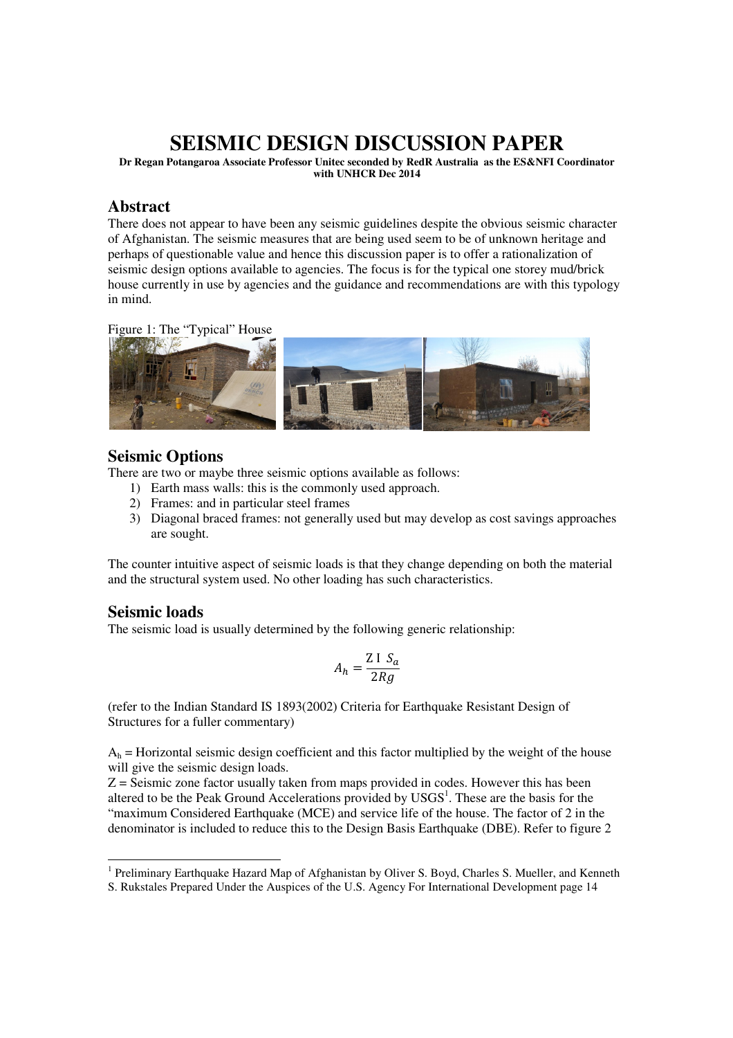# **SEISMIC DESIGN DISCUSSION PAPER**

**Dr Regan Potangaroa Associate Professor Unitec seconded by RedR Australia as the ES&NFI Coordinator with UNHCR Dec 2014** 

#### **Abstract**

There does not appear to have been any seismic guidelines despite the obvious seismic character of Afghanistan. The seismic measures that are being used seem to be of unknown heritage and perhaps of questionable value and hence this discussion paper is to offer a rationalization of seismic design options available to agencies. The focus is for the typical one storey mud/brick house currently in use by agencies and the guidance and recommendations are with this typology in mind.





### **Seismic Options**

There are two or maybe three seismic options available as follows:

- 1) Earth mass walls: this is the commonly used approach.
- 2) Frames: and in particular steel frames
- 3) Diagonal braced frames: not generally used but may develop as cost savings approaches are sought.

The counter intuitive aspect of seismic loads is that they change depending on both the material and the structural system used. No other loading has such characteristics.

### **Seismic loads**

The seismic load is usually determined by the following generic relationship:

$$
A_h = \frac{\text{Z I } S_a}{2 R g}
$$

(refer to the Indian Standard IS 1893(2002) Criteria for Earthquake Resistant Design of Structures for a fuller commentary)

 $A_h$  = Horizontal seismic design coefficient and this factor multiplied by the weight of the house will give the seismic design loads.

 $Z =$  Seismic zone factor usually taken from maps provided in codes. However this has been altered to be the Peak Ground Accelerations provided by  $USGS<sup>1</sup>$ . These are the basis for the "maximum Considered Earthquake (MCE) and service life of the house. The factor of 2 in the denominator is included to reduce this to the Design Basis Earthquake (DBE). Refer to figure 2

<sup>-</sup><sup>1</sup> Preliminary Earthquake Hazard Map of Afghanistan by Oliver S. Boyd, Charles S. Mueller, and Kenneth S. Rukstales Prepared Under the Auspices of the U.S. Agency For International Development page 14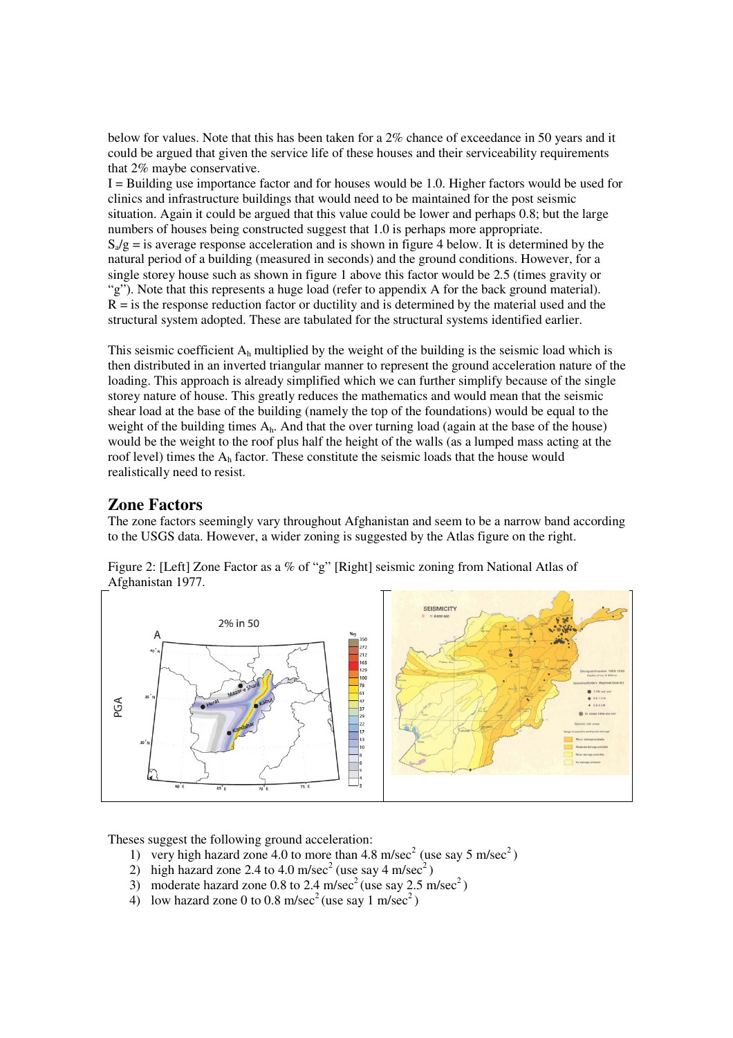below for values. Note that this has been taken for a 2% chance of exceedance in 50 years and it could be argued that given the service life of these houses and their serviceability requirements that 2% maybe conservative.

 $I =$  Building use importance factor and for houses would be 1.0. Higher factors would be used for clinics and infrastructure buildings that would need to be maintained for the post seismic situation. Again it could be argued that this value could be lower and perhaps 0.8; but the large numbers of houses being constructed suggest that 1.0 is perhaps more appropriate.  $S_a/g =$  is average response acceleration and is shown in figure 4 below. It is determined by the natural period of a building (measured in seconds) and the ground conditions. However, for a single storey house such as shown in figure 1 above this factor would be 2.5 (times gravity or "g"). Note that this represents a huge load (refer to appendix A for the back ground material).  $R =$  is the response reduction factor or ductility and is determined by the material used and the structural system adopted. These are tabulated for the structural systems identified earlier.

This seismic coefficient  $A_h$  multiplied by the weight of the building is the seismic load which is then distributed in an inverted triangular manner to represent the ground acceleration nature of the loading. This approach is already simplified which we can further simplify because of the single storey nature of house. This greatly reduces the mathematics and would mean that the seismic shear load at the base of the building (namely the top of the foundations) would be equal to the weight of the building times Ah. And that the over turning load (again at the base of the house) would be the weight to the roof plus half the height of the walls (as a lumped mass acting at the roof level) times the  $A_h$  factor. These constitute the seismic loads that the house would realistically need to resist.

## **Zone Factors**

The zone factors seemingly vary throughout Afghanistan and seem to be a narrow band according to the USGS data. However, a wider zoning is suggested by the Atlas figure on the right.

Figure 2: [Left] Zone Factor as a % of "g" [Right] seismic zoning from National Atlas of Afghanistan 1977.



Theses suggest the following ground acceleration:

- 1) very high hazard zone 4.0 to more than 4.8 m/sec<sup>2</sup> (use say 5 m/sec<sup>2</sup>)
- 2) high hazard zone 2.4 to 4.0 m/sec<sup>2</sup> (use say 4 m/sec<sup>2</sup>)
- 3) moderate hazard zone 0.8 to 2.4 m/sec<sup>2</sup> (use say  $2.5 \text{ m/sec}^2$ )
- 4) low hazard zone 0 to 0.8 m/sec<sup>2</sup> (use say 1 m/sec<sup>2</sup>)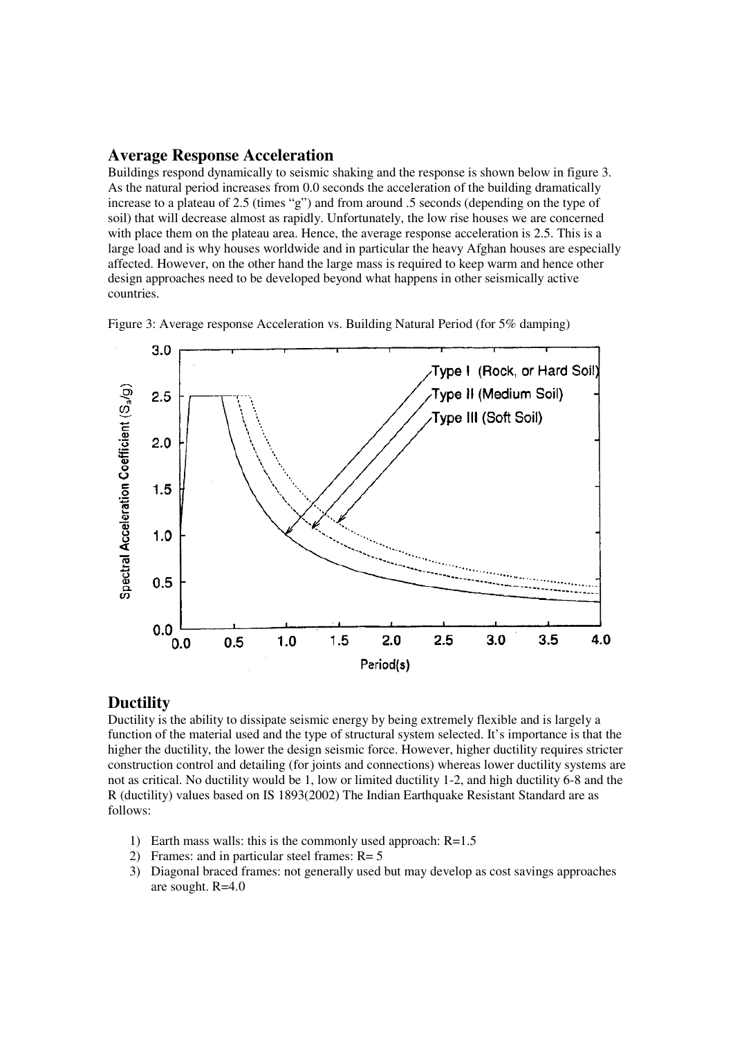#### **Average Response Acceleration**

Buildings respond dynamically to seismic shaking and the response is shown below in figure 3. As the natural period increases from 0.0 seconds the acceleration of the building dramatically increase to a plateau of 2.5 (times "g") and from around .5 seconds (depending on the type of soil) that will decrease almost as rapidly. Unfortunately, the low rise houses we are concerned with place them on the plateau area. Hence, the average response acceleration is 2.5. This is a large load and is why houses worldwide and in particular the heavy Afghan houses are especially affected. However, on the other hand the large mass is required to keep warm and hence other design approaches need to be developed beyond what happens in other seismically active countries.

 $3.0$ Type I (Rock, or Hard Soil) Spectral Acceleration Coefficient (S<sub>a</sub>/g) Type II (Medium Soil)  $2.5$ Type III (Soft Soil)  $2.0$  $1.5$  $1.0$  $0.5$  $0.0$  $1.5$  $2.0$  $2.5$  $3.0$ 3.5 4.0  $1.0$  $0.5$  $0.0$ Pariod(s)

Figure 3: Average response Acceleration vs. Building Natural Period (for 5% damping)

#### **Ductility**

Ductility is the ability to dissipate seismic energy by being extremely flexible and is largely a function of the material used and the type of structural system selected. It's importance is that the higher the ductility, the lower the design seismic force. However, higher ductility requires stricter construction control and detailing (for joints and connections) whereas lower ductility systems are not as critical. No ductility would be 1, low or limited ductility 1-2, and high ductility 6-8 and the R (ductility) values based on IS 1893(2002) The Indian Earthquake Resistant Standard are as follows:

- 1) Earth mass walls: this is the commonly used approach: R=1.5
- 2) Frames: and in particular steel frames: R= 5
- 3) Diagonal braced frames: not generally used but may develop as cost savings approaches are sought. R=4.0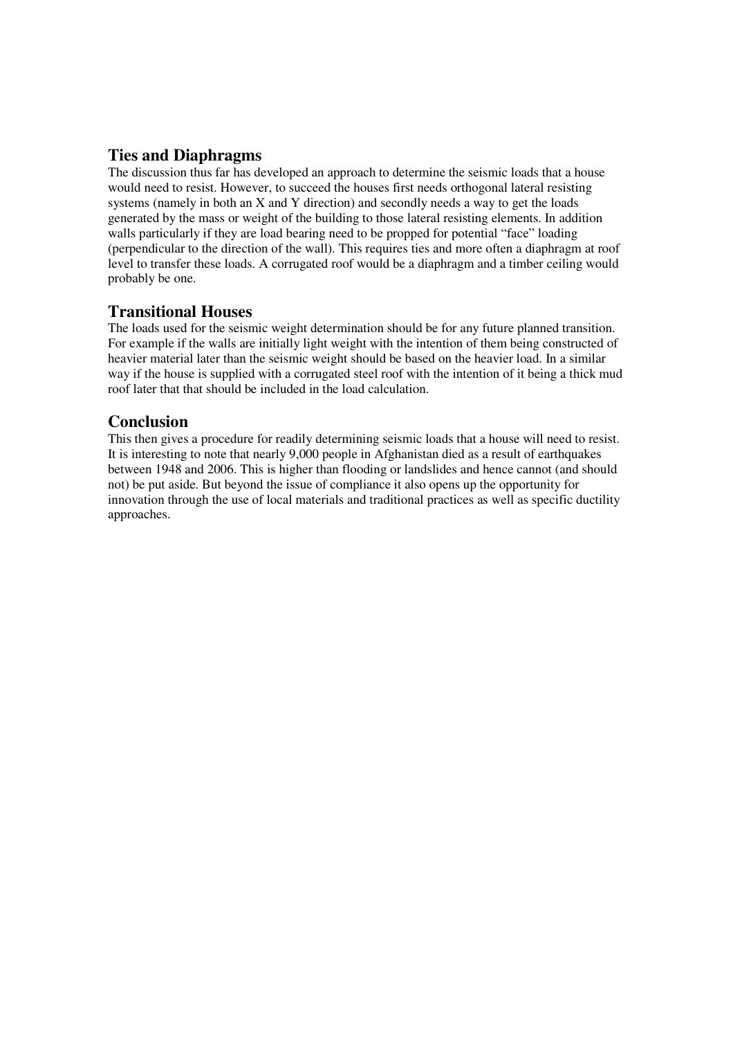### **Ties and Diaphragms**

The discussion thus far has developed an approach to determine the seismic loads that a house would need to resist. However, to succeed the houses first needs orthogonal lateral resisting systems (namely in both an X and Y direction) and secondly needs a way to get the loads generated by the mass or weight of the building to those lateral resisting elements. In addition walls particularly if they are load bearing need to be propped for potential "face" loading (perpendicular to the direction of the wall). This requires ties and more often a diaphragm at roof level to transfer these loads. A corrugated roof would be a diaphragm and a timber ceiling would probably be one.

## **Transitional Houses**

The loads used for the seismic weight determination should be for any future planned transition. For example if the walls are initially light weight with the intention of them being constructed of heavier material later than the seismic weight should be based on the heavier load. In a similar way if the house is supplied with a corrugated steel roof with the intention of it being a thick mud roof later that that should be included in the load calculation.

## **Conclusion**

This then gives a procedure for readily determining seismic loads that a house will need to resist. It is interesting to note that nearly 9,000 people in Afghanistan died as a result of earthquakes between 1948 and 2006. This is higher than flooding or landslides and hence cannot (and should not) be put aside. But beyond the issue of compliance it also opens up the opportunity for innovation through the use of local materials and traditional practices as well as specific ductility approaches.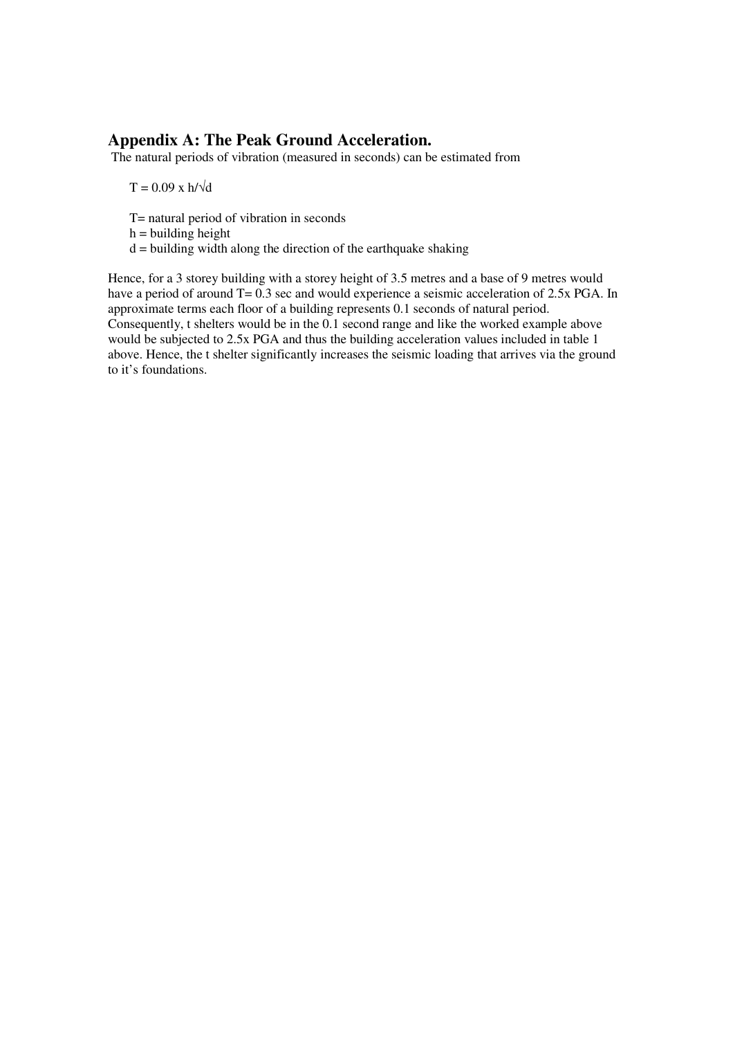### **Appendix A: The Peak Ground Acceleration.**

The natural periods of vibration (measured in seconds) can be estimated from

 $T = 0.09$  x h/ $\sqrt{d}$ 

- T= natural period of vibration in seconds
- $h =$  building height
- $d =$  building width along the direction of the earthquake shaking

Hence, for a 3 storey building with a storey height of 3.5 metres and a base of 9 metres would have a period of around T= 0.3 sec and would experience a seismic acceleration of 2.5x PGA. In approximate terms each floor of a building represents 0.1 seconds of natural period. Consequently, t shelters would be in the 0.1 second range and like the worked example above would be subjected to 2.5x PGA and thus the building acceleration values included in table 1 above. Hence, the t shelter significantly increases the seismic loading that arrives via the ground to it's foundations.